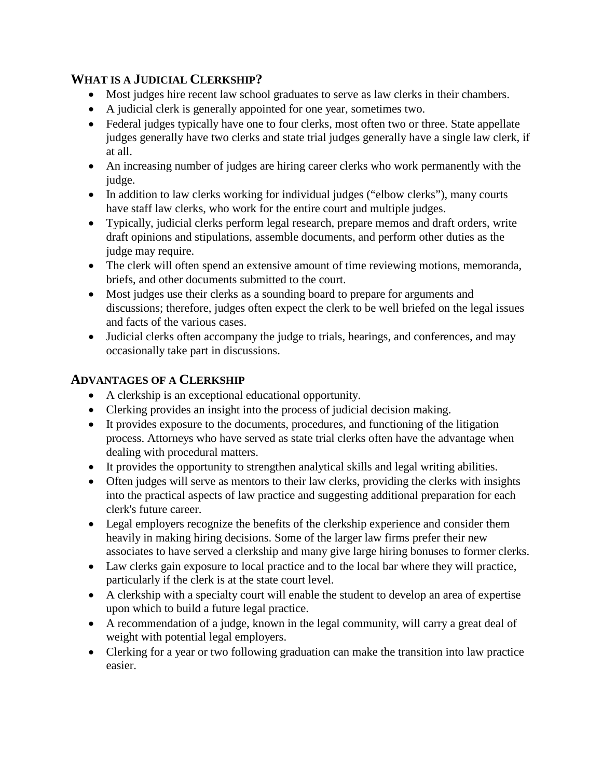# **WHAT IS A JUDICIAL CLERKSHIP?**

- Most judges hire recent law school graduates to serve as law clerks in their chambers.
- A judicial clerk is generally appointed for one year, sometimes two.
- Federal judges typically have one to four clerks, most often two or three. State appellate judges generally have two clerks and state trial judges generally have a single law clerk, if at all.
- An increasing number of judges are hiring career clerks who work permanently with the judge.
- In addition to law clerks working for individual judges ("elbow clerks"), many courts have staff law clerks, who work for the entire court and multiple judges.
- Typically, judicial clerks perform legal research, prepare memos and draft orders, write draft opinions and stipulations, assemble documents, and perform other duties as the judge may require.
- The clerk will often spend an extensive amount of time reviewing motions, memoranda, briefs, and other documents submitted to the court.
- Most judges use their clerks as a sounding board to prepare for arguments and discussions; therefore, judges often expect the clerk to be well briefed on the legal issues and facts of the various cases.
- Judicial clerks often accompany the judge to trials, hearings, and conferences, and may occasionally take part in discussions.

## **ADVANTAGES OF A CLERKSHIP**

- A clerkship is an exceptional educational opportunity.
- Clerking provides an insight into the process of judicial decision making.
- It provides exposure to the documents, procedures, and functioning of the litigation process. Attorneys who have served as state trial clerks often have the advantage when dealing with procedural matters.
- It provides the opportunity to strengthen analytical skills and legal writing abilities.
- Often judges will serve as mentors to their law clerks, providing the clerks with insights into the practical aspects of law practice and suggesting additional preparation for each clerk's future career.
- Legal employers recognize the benefits of the clerkship experience and consider them heavily in making hiring decisions. Some of the larger law firms prefer their new associates to have served a clerkship and many give large hiring bonuses to former clerks.
- Law clerks gain exposure to local practice and to the local bar where they will practice, particularly if the clerk is at the state court level.
- A clerkship with a specialty court will enable the student to develop an area of expertise upon which to build a future legal practice.
- A recommendation of a judge, known in the legal community, will carry a great deal of weight with potential legal employers.
- Clerking for a year or two following graduation can make the transition into law practice easier.